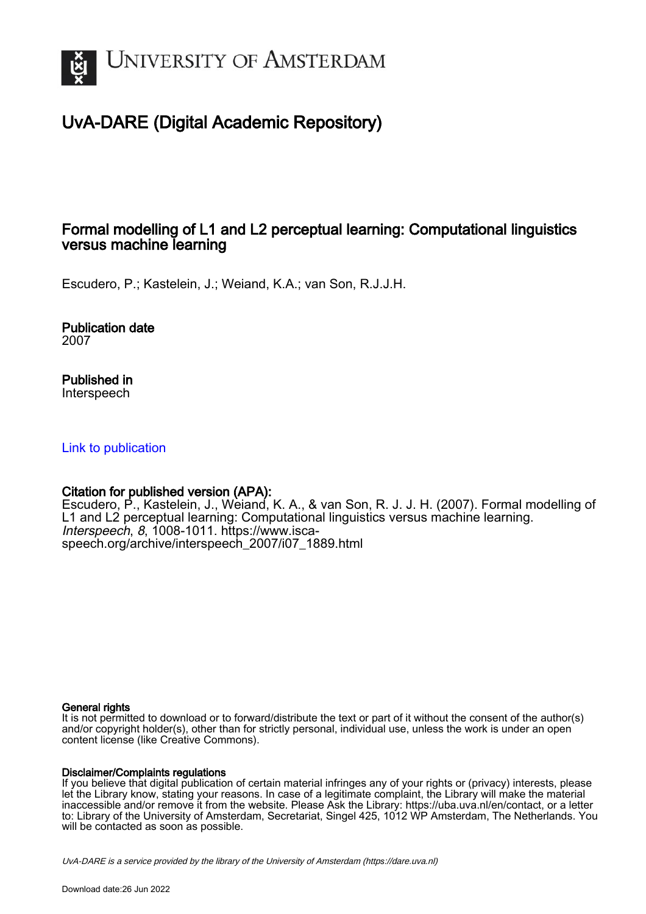

# UvA-DARE (Digital Academic Repository)

## Formal modelling of L1 and L2 perceptual learning: Computational linguistics versus machine learning

Escudero, P.; Kastelein, J.; Weiand, K.A.; van Son, R.J.J.H.

Publication date 2007

Published in Interspeech

## [Link to publication](https://dare.uva.nl/personal/pure/en/publications/formal-modelling-of-l1-and-l2-perceptual-learning-computational-linguistics-versus-machine-learning(2d8f535a-4880-453e-aa15-c8c1f9983c5f).html)

## Citation for published version (APA):

Escudero, P., Kastelein, J., Weiand, K. A., & van Son, R. J. J. H. (2007). Formal modelling of L1 and L2 perceptual learning: Computational linguistics versus machine learning. Interspeech, 8, 1008-1011. [https://www.isca](https://www.isca-speech.org/archive/interspeech_2007/i07_1889.html)[speech.org/archive/interspeech\\_2007/i07\\_1889.html](https://www.isca-speech.org/archive/interspeech_2007/i07_1889.html)

## General rights

It is not permitted to download or to forward/distribute the text or part of it without the consent of the author(s) and/or copyright holder(s), other than for strictly personal, individual use, unless the work is under an open content license (like Creative Commons).

## Disclaimer/Complaints regulations

If you believe that digital publication of certain material infringes any of your rights or (privacy) interests, please let the Library know, stating your reasons. In case of a legitimate complaint, the Library will make the material inaccessible and/or remove it from the website. Please Ask the Library: https://uba.uva.nl/en/contact, or a letter to: Library of the University of Amsterdam, Secretariat, Singel 425, 1012 WP Amsterdam, The Netherlands. You will be contacted as soon as possible.

UvA-DARE is a service provided by the library of the University of Amsterdam (http*s*://dare.uva.nl)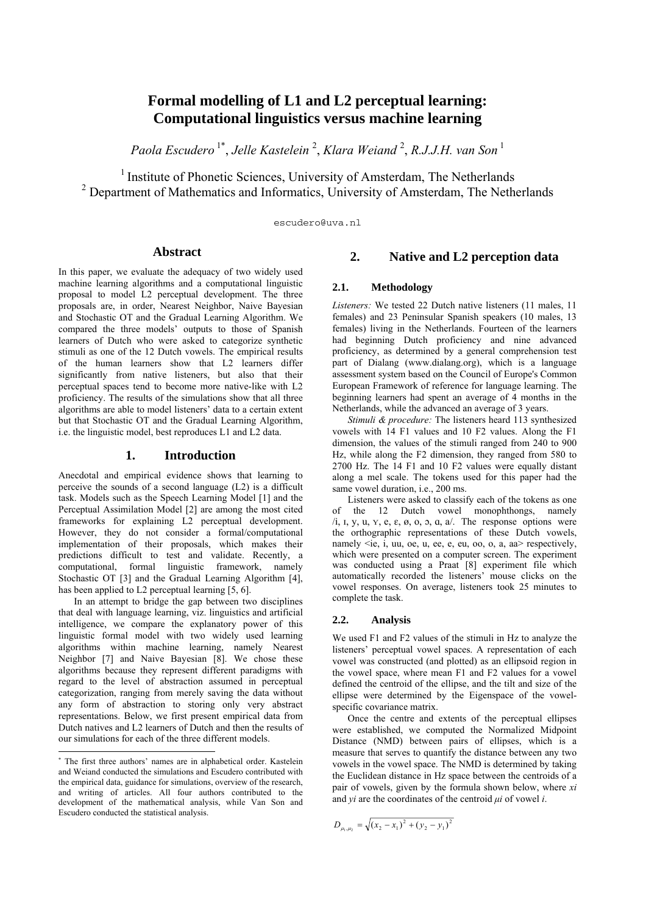## **Formal modelling of L1 and L2 perceptual learning: Computational linguistics versus machine learning**

*Paola Escudero* 1\*, *Jelle Kastelein* <sup>2</sup> , *Klara Weiand* <sup>2</sup> , *R.J.J.H. van Son* <sup>1</sup>

<sup>1</sup> Institute of Phonetic Sciences, University of Amsterdam, The Netherlands  $2^{2}$  Department of Mathematics and Informatics, University of Amsterdam, The Netherlands

escudero@uva.nl

## **Abstract**<sup>∗</sup>

In this paper, we evaluate the adequacy of two widely used machine learning algorithms and a computational linguistic proposal to model L2 perceptual development. The three proposals are, in order, Nearest Neighbor, Naive Bayesian and Stochastic OT and the Gradual Learning Algorithm. We compared the three models' outputs to those of Spanish learners of Dutch who were asked to categorize synthetic stimuli as one of the 12 Dutch vowels. The empirical results of the human learners show that L2 learners differ significantly from native listeners, but also that their perceptual spaces tend to become more native-like with L2 proficiency. The results of the simulations show that all three algorithms are able to model listeners' data to a certain extent but that Stochastic OT and the Gradual Learning Algorithm, i.e. the linguistic model, best reproduces L1 and L2 data.

#### **1. Introduction**

Anecdotal and empirical evidence shows that learning to perceive the sounds of a second language (L2) is a difficult task. Models such as the Speech Learning Model [1] and the Perceptual Assimilation Model [2] are among the most cited frameworks for explaining L2 perceptual development. However, they do not consider a formal/computational implementation of their proposals, which makes their predictions difficult to test and validate. Recently, a computational, formal linguistic framework, namely Stochastic OT [3] and the Gradual Learning Algorithm [4], has been applied to L2 perceptual learning [5, 6].

 In an attempt to bridge the gap between two disciplines that deal with language learning, viz. linguistics and artificial intelligence, we compare the explanatory power of this linguistic formal model with two widely used learning algorithms within machine learning, namely Nearest Neighbor [7] and Naive Bayesian [8]. We chose these algorithms because they represent different paradigms with regard to the level of abstraction assumed in perceptual categorization, ranging from merely saving the data without any form of abstraction to storing only very abstract representations. Below, we first present empirical data from Dutch natives and L2 learners of Dutch and then the results of our simulations for each of the three different models.

## **2. Native and L2 perception data**

#### **2.1. Methodology**

*Listeners:* We tested 22 Dutch native listeners (11 males, 11 females) and 23 Peninsular Spanish speakers (10 males, 13 females) living in the Netherlands. Fourteen of the learners had beginning Dutch proficiency and nine advanced proficiency, as determined by a general comprehension test part of Dialang (www.dialang.org), which is a language assessment system based on the Council of Europe's Common European Framework of reference for language learning. The beginning learners had spent an average of 4 months in the Netherlands, while the advanced an average of 3 years.

*Stimuli & procedure:* The listeners heard 113 synthesized vowels with 14 F1 values and 10 F2 values. Along the F1 dimension, the values of the stimuli ranged from 240 to 900 Hz, while along the F2 dimension, they ranged from 580 to 2700 Hz. The 14 F1 and 10 F2 values were equally distant along a mel scale. The tokens used for this paper had the same vowel duration, i.e., 200 ms.

 Listeners were asked to classify each of the tokens as one of the 12 Dutch vowel monophthongs, namely  $\lambda$ i, I, y, u, y, e,  $\varepsilon$ ,  $\varnothing$ ,  $\varnothing$ ,  $\varnothing$ ,  $\varnothing$ ,  $\varnothing$ ,  $\varnothing$ ,  $\varnothing$ ,  $\varnothing$ ,  $\varnothing$ ,  $\varnothing$ ,  $\varnothing$ ,  $\varnothing$ ,  $\varnothing$ ,  $\varnothing$ ,  $\varnothing$ ,  $\varnothing$ ,  $\varnothing$ ,  $\varnothing$ ,  $\varnothing$ ,  $\varnothing$ ,  $\varnothing$ ,  $\varnothing$ ,  $\varnothing$ ,  $\varnothing$ ,  $\varnothing$ ,  $\varnothing$ ,  $\varnothing$ ,  $\var$ the orthographic representations of these Dutch vowels, namely  $\leq i$ e,  $i$ , uu, oe, u, ee, e, eu, oo, o, a, aa $>$  respectively, which were presented on a computer screen. The experiment was conducted using a Praat [8] experiment file which automatically recorded the listeners' mouse clicks on the vowel responses. On average, listeners took 25 minutes to complete the task.

#### **2.2. Analysis**

We used F1 and F2 values of the stimuli in Hz to analyze the listeners' perceptual vowel spaces. A representation of each vowel was constructed (and plotted) as an ellipsoid region in the vowel space, where mean F1 and F2 values for a vowel defined the centroid of the ellipse, and the tilt and size of the ellipse were determined by the Eigenspace of the vowelspecific covariance matrix.

 Once the centre and extents of the perceptual ellipses were established, we computed the Normalized Midpoint Distance (NMD) between pairs of ellipses, which is a measure that serves to quantify the distance between any two vowels in the vowel space. The NMD is determined by taking the Euclidean distance in Hz space between the centroids of a pair of vowels, given by the formula shown below, where *xi*  and *yi* are the coordinates of the centroid *µi* of vowel *i*.

$$
D_{\mu_1,\mu_2} = \sqrt{(x_2 - x_1)^2 + (y_2 - y_1)^2}
$$

 ∗ The first three authors' names are in alphabetical order. Kastelein and Weiand conducted the simulations and Escudero contributed with the empirical data, guidance for simulations, overview of the research, and writing of articles. All four authors contributed to the development of the mathematical analysis, while Van Son and Escudero conducted the statistical analysis.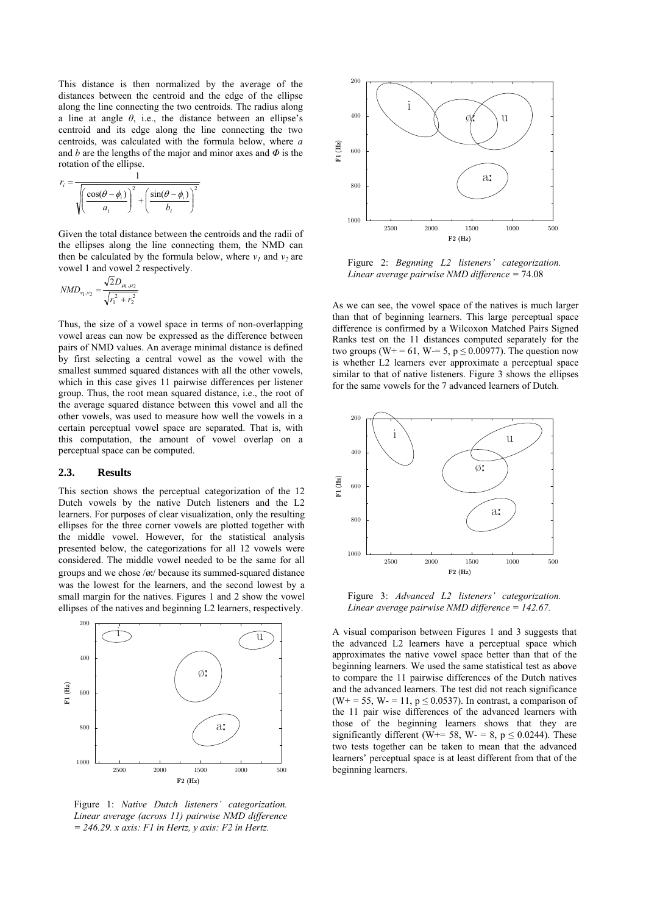This distance is then normalized by the average of the distances between the centroid and the edge of the ellipse along the line connecting the two centroids. The radius along a line at angle  $\theta$ , i.e., the distance between an ellipse's centroid and its edge along the line connecting the two centroids, was calculated with the formula below, where *a* and *b* are the lengths of the major and minor axes and *Φ* is the rotation of the ellipse.

$$
r_i = \frac{1}{\sqrt{\left(\frac{\cos(\theta - \phi_i)}{a_i}\right)^2 + \left(\frac{\sin(\theta - \phi_i)}{b_i}\right)^2}}
$$

Given the total distance between the centroids and the radii of the ellipses along the line connecting them, the NMD can then be calculated by the formula below, where  $v_1$  and  $v_2$  are vowel 1 and vowel 2 respectively.

$$
NMD_{v_1, v_2} = \frac{\sqrt{2D_{\mu_1, \mu_2}}}{\sqrt{r_1^2 + r_2^2}}
$$

Thus, the size of a vowel space in terms of non-overlapping vowel areas can now be expressed as the difference between pairs of NMD values. An average minimal distance is defined by first selecting a central vowel as the vowel with the smallest summed squared distances with all the other vowels, which in this case gives 11 pairwise differences per listener group. Thus, the root mean squared distance, i.e., the root of the average squared distance between this vowel and all the other vowels, was used to measure how well the vowels in a certain perceptual vowel space are separated. That is, with this computation, the amount of vowel overlap on a perceptual space can be computed.

#### **2.3. Results**

This section shows the perceptual categorization of the 12 Dutch vowels by the native Dutch listeners and the L2 learners. For purposes of clear visualization, only the resulting ellipses for the three corner vowels are plotted together with the middle vowel. However, for the statistical analysis presented below, the categorizations for all 12 vowels were considered. The middle vowel needed to be the same for all groups and we chose  $/\alpha$ . because its summed-squared distance was the lowest for the learners, and the second lowest by a small margin for the natives. Figures 1 and 2 show the vowel ellipses of the natives and beginning L2 learners, respectively.



Figure 1: *Native Dutch listeners' categorization. Linear average (across 11) pairwise NMD difference = 246.29. x axis: F1 in Hertz, y axis: F2 in Hertz.* 



Figure 2: *Begnning L2 listeners' categorization. Linear average pairwise NMD difference =* 74.08

As we can see, the vowel space of the natives is much larger than that of beginning learners. This large perceptual space difference is confirmed by a Wilcoxon Matched Pairs Signed Ranks test on the 11 distances computed separately for the two groups (W+ = 61, W-= 5,  $p \le 0.00977$ ). The question now is whether L2 learners ever approximate a perceptual space similar to that of native listeners. Figure 3 shows the ellipses for the same vowels for the 7 advanced learners of Dutch.



Figure 3: *Advanced L2 listeners' categorization. Linear average pairwise NMD difference = 142.67.* 

A visual comparison between Figures 1 and 3 suggests that the advanced L2 learners have a perceptual space which approximates the native vowel space better than that of the beginning learners. We used the same statistical test as above to compare the 11 pairwise differences of the Dutch natives and the advanced learners. The test did not reach significance (W+ = 55, W- = 11,  $p \le 0.0537$ ). In contrast, a comparison of the 11 pair wise differences of the advanced learners with those of the beginning learners shows that they are significantly different (W+= 58, W- = 8, p  $\leq$  0.0244). These two tests together can be taken to mean that the advanced learners' perceptual space is at least different from that of the beginning learners.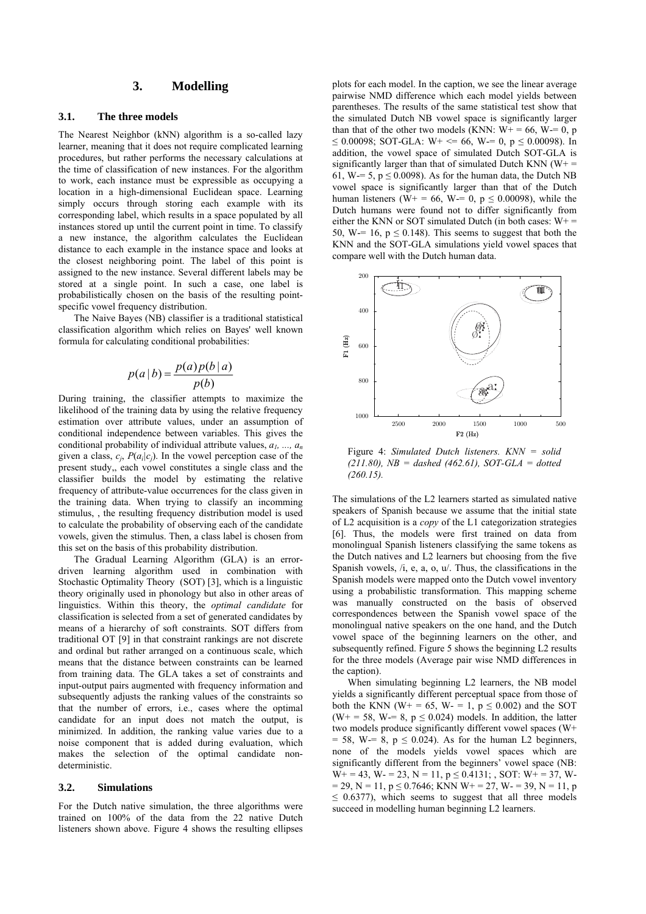## **3. Modelling**

#### **3.1. The three models**

The Nearest Neighbor (kNN) algorithm is a so-called lazy learner, meaning that it does not require complicated learning procedures, but rather performs the necessary calculations at the time of classification of new instances. For the algorithm to work, each instance must be expressible as occupying a location in a high-dimensional Euclidean space. Learning simply occurs through storing each example with its corresponding label, which results in a space populated by all instances stored up until the current point in time. To classify a new instance, the algorithm calculates the Euclidean distance to each example in the instance space and looks at the closest neighboring point. The label of this point is assigned to the new instance. Several different labels may be stored at a single point. In such a case, one label is probabilistically chosen on the basis of the resulting pointspecific vowel frequency distribution.

 The Naive Bayes (NB) classifier is a traditional statistical classification algorithm which relies on Bayes' well known formula for calculating conditional probabilities:

$$
p(a | b) = \frac{p(a)p(b | a)}{p(b)}
$$

During training, the classifier attempts to maximize the likelihood of the training data by using the relative frequency estimation over attribute values, under an assumption of conditional independence between variables. This gives the conditional probability of individual attribute values,  $a_1, ..., a_n$ given a class,  $c_i$ ,  $P(a_i|c_i)$ . In the vowel perception case of the present study,, each vowel constitutes a single class and the classifier builds the model by estimating the relative frequency of attribute-value occurrences for the class given in the training data. When trying to classify an incomming stimulus, , the resulting frequency distribution model is used to calculate the probability of observing each of the candidate vowels, given the stimulus. Then, a class label is chosen from this set on the basis of this probability distribution.

The Gradual Learning Algorithm (GLA) is an errordriven learning algorithm used in combination with Stochastic Optimality Theory (SOT) [3], which is a linguistic theory originally used in phonology but also in other areas of linguistics. Within this theory, the *optimal candidate* for classification is selected from a set of generated candidates by means of a hierarchy of soft constraints. SOT differs from traditional OT [9] in that constraint rankings are not discrete and ordinal but rather arranged on a continuous scale, which means that the distance between constraints can be learned from training data. The GLA takes a set of constraints and input-output pairs augmented with frequency information and subsequently adjusts the ranking values of the constraints so that the number of errors, i.e., cases where the optimal candidate for an input does not match the output, is minimized. In addition, the ranking value varies due to a noise component that is added during evaluation, which makes the selection of the optimal candidate nondeterministic.

#### **3.2. Simulations**

For the Dutch native simulation, the three algorithms were trained on 100% of the data from the 22 native Dutch listeners shown above. Figure 4 shows the resulting ellipses plots for each model. In the caption, we see the linear average pairwise NMD difference which each model yields between parentheses. The results of the same statistical test show that the simulated Dutch NB vowel space is significantly larger than that of the other two models (KNN:  $W_1 = 66$ , W<sub>7</sub> = 0, p ≤ 0.00098; SOT-GLA: W+ <= 66, W= 0, p ≤ 0.00098). In addition, the vowel space of simulated Dutch SOT-GLA is significantly larger than that of simulated Dutch KNN ( $W^+$  = 61, W-= 5,  $p \le 0.0098$ ). As for the human data, the Dutch NB vowel space is significantly larger than that of the Dutch human listeners (W+ = 66, W-= 0, p  $\leq$  0.00098), while the Dutch humans were found not to differ significantly from either the KNN or SOT simulated Dutch (in both cases:  $W_+$  = 50, W -= 16,  $p \le 0.148$ ). This seems to suggest that both the KNN and the SOT-GLA simulations yield vowel spaces that compare well with the Dutch human data.



Figure 4: *Simulated Dutch listeners. KNN = solid (211.80), NB = dashed (462.61), SOT-GLA = dotted (260.15).* 

The simulations of the L2 learners started as simulated native speakers of Spanish because we assume that the initial state of L2 acquisition is a *copy* of the L1 categorization strategies [6]. Thus, the models were first trained on data from monolingual Spanish listeners classifying the same tokens as the Dutch natives and L2 learners but choosing from the five Spanish vowels, /i, e, a, o, u/. Thus, the classifications in the Spanish models were mapped onto the Dutch vowel inventory using a probabilistic transformation. This mapping scheme was manually constructed on the basis of observed correspondences between the Spanish vowel space of the monolingual native speakers on the one hand, and the Dutch vowel space of the beginning learners on the other, and subsequently refined. Figure 5 shows the beginning L2 results for the three models (Average pair wise NMD differences in the caption).

 When simulating beginning L2 learners, the NB model yields a significantly different perceptual space from those of both the KNN (W+ = 65, W- = 1,  $p \le 0.002$ ) and the SOT (W+ = 58, W-= 8,  $p \le 0.024$ ) models. In addition, the latter two models produce significantly different vowel spaces (W+  $= 58$ , W $= 8$ , p  $\leq 0.024$ ). As for the human L2 beginners, none of the models yields vowel spaces which are significantly different from the beginners' vowel space (NB:  $W_+ = 43$ ,  $W_+ = 23$ ,  $N = 11$ ,  $p \le 0.4131$ ;  $SOT: W_+ = 37$ ,  $W_ = 29$ , N = 11, p  $\leq$  0.7646; KNN W+ = 27, W- = 39, N = 11, p  $\leq$  0.6377), which seems to suggest that all three models succeed in modelling human beginning L2 learners.